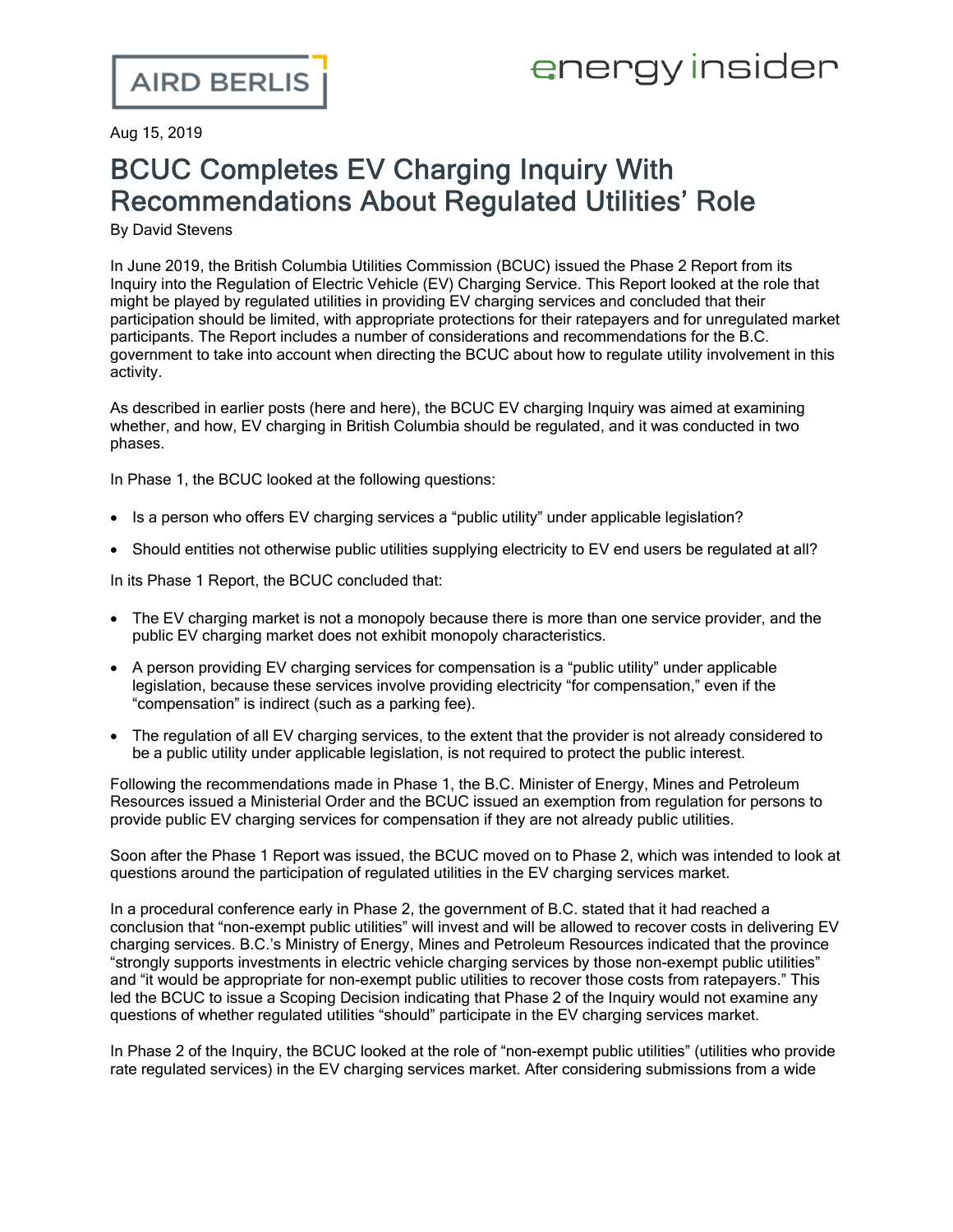## energy insider

Aug 15, 2019

## BCUC Completes EV Charging Inquiry With Recommendations About Regulated Utilities' Role

By David Stevens

In June 2019, the British Columbia Utilities Commission (BCUC) issued the Phase 2 [Report](https://www.bcuc.com/Documents/Proceedings/2019/DOC_54345_BCUC%20EV%20Inquiry%20Phase%20Two%20Report-web.pdf) from its Inquiry into the [Regulation](https://www.bcuc.com/Documents/Proceedings/2019/DOC_54345_BCUC%20EV%20Inquiry%20Phase%20Two%20Report-web.pdf) of Electric Vehicle (EV) Charging Service. This Report looked at the role that might be played by regulated utilities in providing EV charging services and concluded that their participation should be limited, with appropriate protections for their ratepayers and for unregulated market participants. The Report includes a number of considerations and recommendations for the B.C. government to take into account when directing the BCUC about how to regulate utility involvement in this activity.

As described in earlier posts [\(here](https://www.airdberlis.com/insights/blogs/EnergyInsider/post/ei-item/bcuc-report-finds-no-need-for-regulation-of-public-ev-charging-stations) and [here](https://www.airdberlis.com/insights/blogs/EnergyInsider/post/ei-item/british-columbia-utilities-commission-launches-inquiry-to-review-regulation-of-electric-vehicle-charging)), the BCUC EV charging Inquiry was aimed at examining whether, and how, EV charging in British Columbia should be regulated, and it was conducted in two phases.

In Phase 1, the BCUC looked at the following questions:

- Is a person who offers EV charging services a "public utility" under applicable legislation?
- · Should entities not otherwise public utilities supplying electricity to EV end users be regulated at all?

In its Phase 1 [Report,](https://www.bcuc.com/Documents/Proceedings/2018/DOC_52916_2018-11-26-PhaseOne-Report.pdf) the BCUC concluded that:

- · The EV charging market is not a monopoly because there is more than one service provider, and the public EV charging market does not exhibit monopoly characteristics.
- · A person providing EV charging services for compensation is a "public utility" under applicable legislation, because these services involve providing electricity "for compensation," even if the "compensation" is indirect (such as a parking fee).
- · The regulation of all EV charging services, to the extent that the provider is not already considered to be a public utility under applicable legislation, is not required to protect the public interest.

Following the recommendations made in Phase 1, the B.C. Minister of Energy, Mines and Petroleum Resources issued a [Ministerial](http://www.bclaws.ca/civix/document/id/mo/mo/2019_m104) Order and the BCUC issued an [exemption](https://www.bcuc.com/Documents/Proceedings/2019/DOC_53650_G-66-19-BCUC-EV-Inquiry-Exemption.pdf) from regulation for persons to provide public EV charging services for compensation if they are not already public utilities.

Soon after the Phase 1 Report was issued, the BCUC moved on to Phase 2, which was intended to look at questions around the participation of regulated utilities in the EV charging services market.

In a procedural conference early in Phase 2, the government of B.C. stated that it had reached a conclusion that "non-exempt public utilities" will invest and will be allowed to recover costs in delivering EV charging services. B.C.'s Ministry of Energy, Mines and Petroleum Resources indicated that the province "strongly supports investments in electric vehicle charging services by those non-exempt public utilities" and "it would be appropriate for non-exempt public utilities to recover those costs from ratepayers." This led the BCUC to issue a Scoping [Decision](https://www.bcuc.com/Documents/Proceedings/2019/DOC_53525_A-41-G-50-19-Timetable-Reasons.pdf) indicating that Phase 2 of the Inquiry would not examine any questions of whether regulated utilities "should" participate in the EV charging services market.

In Phase 2 of the Inquiry, the BCUC looked at the role of "non-exempt public utilities" (utilities who provide rate regulated services) in the EV charging services market. After considering submissions from a wide